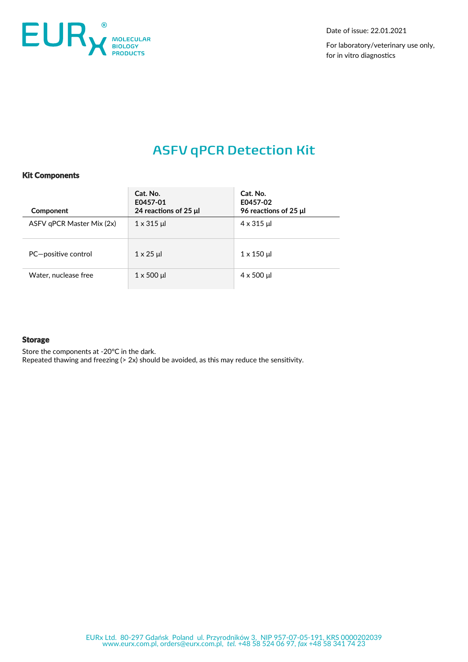

Date of issue: 22.01.2021

For laboratory/veterinary use only, for in vitro diagnostics

# **ASFV qPCR Detection Kit**

# Kit Components

| Component                 | Cat. No.<br>E0457-01<br>24 reactions of 25 $\mu$ | Cat. No.<br>E0457-02<br>96 reactions of 25 $\mu$ |
|---------------------------|--------------------------------------------------|--------------------------------------------------|
| ASFV qPCR Master Mix (2x) | $1 \times 315$ µ                                 | $4 \times 315$ µl                                |
| PC-positive control       | $1 \times 25$ µ                                  | $1 \times 150$ µ                                 |
| Water, nuclease free      | $1 \times 500$ µ                                 | $4 \times 500 \mu$                               |

# **Storage**

Store the components at -20°C in the dark. Repeated thawing and freezing (> 2x) should be avoided, as this may reduce the sensitivity.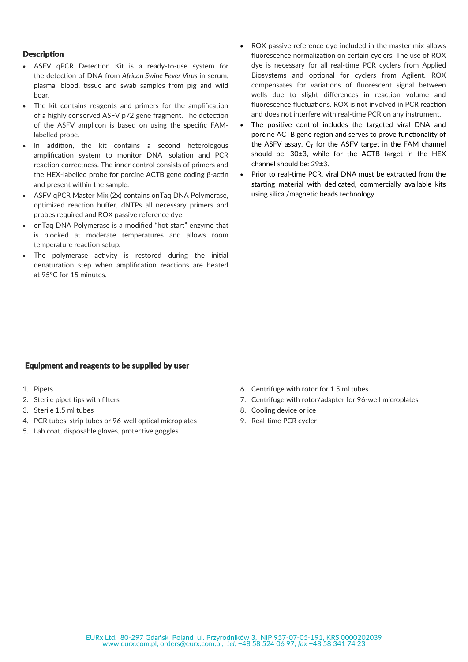# **Description**

- ASFV qPCR Detection Kit is a ready-to-use system for the detection of DNA from *African Swine Fever Virus* in serum, plasma, blood, tissue and swab samples from pig and wild boar.
- The kit contains reagents and primers for the amplification of a highly conserved ASFV p72 gene fragment. The detection of the ASFV amplicon is based on using the specific FAMlabelled probe.
- In addition, the kit contains a second heterologous amplification system to monitor DNA isolation and PCR reaction correctness. The inner control consists of primers and the HEX-labelled probe for porcine ACTB gene coding β-actin and present within the sample.
- ASFV qPCR Master Mix (2x) contains onTaq DNA Polymerase, optimized reaction buffer, dNTPs all necessary primers and probes required and ROX passive reference dye.
- onTaq DNA Polymerase is a modified "hot start" enzyme that is blocked at moderate temperatures and allows room temperature reaction setup.
- The polymerase activity is restored during the initial denaturation step when amplification reactions are heated at 95°C for 15 minutes.
- ROX passive reference dye included in the master mix allows fluorescence normalization on certain cyclers. The use of ROX dye is necessary for all real-time PCR cyclers from Applied Biosystems and optional for cyclers from Agilent. ROX compensates for variations of fluorescent signal between wells due to slight differences in reaction volume and fluorescence fluctuations. ROX is not involved in PCR reaction and does not interfere with real-time PCR on any instrument.
- The positive control includes the targeted viral DNA and porcine ACTB gene region and serves to prove functionality of the ASFV assay.  $C_T$  for the ASFV target in the FAM channel should be: 30±3, while for the ACTB target in the HEX channel should be: 29±3.
- Prior to real-time PCR, viral DNA must be extracted from the starting material with dedicated, commercially available kits using silica /magnetic beads technology.

#### Equipment and reagents to be supplied by user

- 1. Pipets
- 2. Sterile pipet tips with filters
- 3. Sterile 1.5 ml tubes
- 4. PCR tubes, strip tubes or 96-well optical microplates
- 5. Lab coat, disposable gloves, protective goggles
- 6. Centrifuge with rotor for 1.5 ml tubes
- 7. Centrifuge with rotor/adapter for 96-well microplates
- 8. Cooling device or ice
- 9. Real-time PCR cycler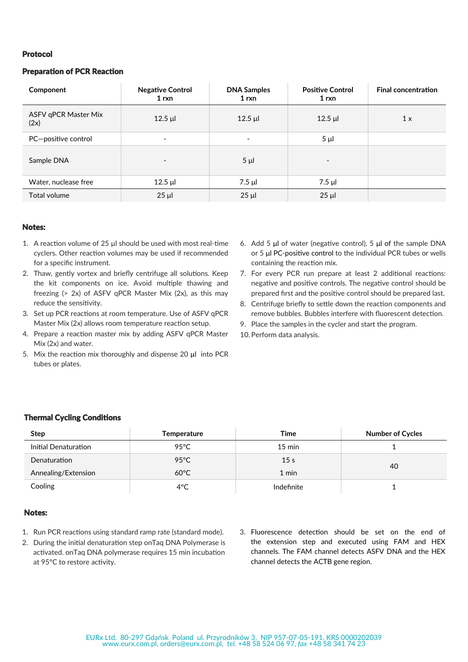#### Protocol

## Preparation of PCR Reaction

| Component                    | <b>Negative Control</b><br>1 <sub>rxn</sub> | <b>DNA Samples</b><br>1 <sub>rxn</sub> | <b>Positive Control</b><br>1 rxn | <b>Final concentration</b> |
|------------------------------|---------------------------------------------|----------------------------------------|----------------------------------|----------------------------|
| ASFV qPCR Master Mix<br>(2x) | $12.5$ µl                                   | $12.5$ µl                              | $12.5$ µl                        | 1 x                        |
| PC-positive control          | $\overline{\phantom{a}}$                    | -                                      | 5 µl                             |                            |
| Sample DNA                   | $\overline{\phantom{a}}$                    | $5 \mu$                                | $\overline{\phantom{a}}$         |                            |
| Water, nuclease free         | $12.5$ µl                                   | $7.5 \mu$                              | 7.5 µl                           |                            |
| Total volume                 | $25 \mu$                                    | $25 \mu$                               | $25 \mu$                         |                            |

#### Notes:

- 1. A reaction volume of 25 μl should be used with most real-time cyclers. Other reaction volumes may be used if recommended for a specific instrument.
- 2. Thaw, gently vortex and briefly centrifuge all solutions. Keep the kit components on ice. Avoid multiple thawing and freezing (> 2x) of ASFV qPCR Master Mix (2x), as this may reduce the sensitivity.
- 3. Set up PCR reactions at room temperature. Use of ASFV qPCR Master Mix (2x) allows room temperature reaction setup.
- 4. Prepare a reaction master mix by adding ASFV qPCR Master Mix (2x) and water.
- 5. Mix the reaction mix thoroughly and dispense 20 μl into PCR tubes or plates.
- 6. Add 5 μl of water (negative control), 5 μl of the sample DNA or 5 μl PC-positive control to the individual PCR tubes or wells containing the reaction mix.
- 7. For every PCR run prepare at least 2 additional reactions: negative and positive controls. The negative control should be prepared first and the positive control should be prepared last.
- 8. Centrifuge briefly to settle down the reaction components and remove bubbles. Bubbles interfere with fluorescent detection.
- 9. Place the samples in the cycler and start the program.
- 10. Perform data analysis.

## Thermal Cycling Conditions

| <b>Step</b>          | Temperature    | Time             | <b>Number of Cycles</b> |  |
|----------------------|----------------|------------------|-------------------------|--|
| Initial Denaturation | 95°C           | $15 \text{ min}$ |                         |  |
| Denaturation         | $95^{\circ}$ C | 15 <sub>s</sub>  | 40                      |  |
| Annealing/Extension  | $60^{\circ}$ C | $1$ min          |                         |  |
| Cooling              | $4^{\circ}$ C  | Indefinite       |                         |  |

#### Notes:

- 1. Run PCR reactions using standard ramp rate (standard mode).
- 2. During the initial denaturation step onTaq DNA Polymerase is activated. onTaq DNA polymerase requires 15 min incubation at 95°C to restore activity.
- 3. Fluorescence detection should be set on the end of the extension step and executed using FAM and HEX channels. The FAM channel detects ASFV DNA and the HEX channel detects the ACTB gene region.